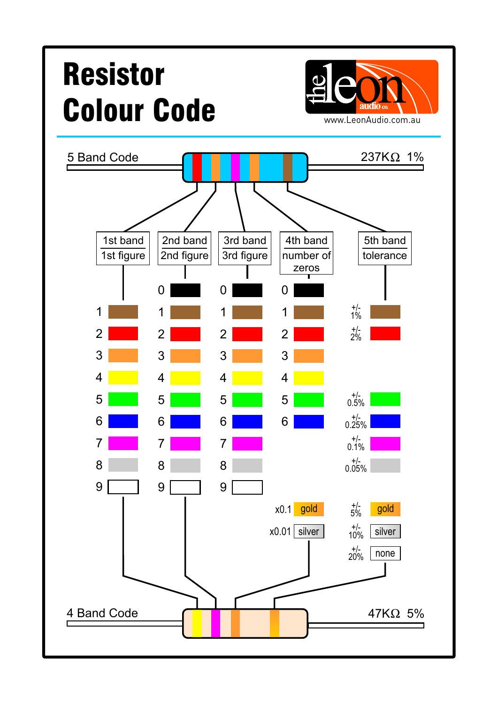## Resistor Colour Code WWW.LeonAudio.com.au